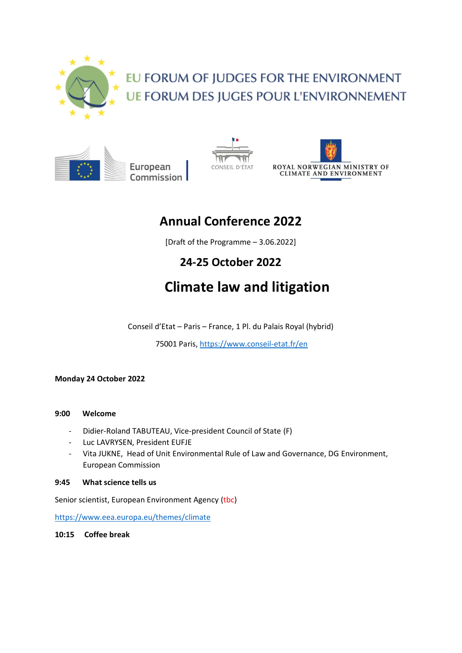

# EU FORUM OF JUDGES FOR THE ENVIRONMENT **UE FORUM DES JUGES POUR L'ENVIRONNEMENT**

European Commission





## **Annual Conference 2022**

[Draft of the Programme – 3.06.2022]

### **24-25 October 2022**

# **Climate law and litigation**

Conseil d'Etat – Paris – France, 1 Pl. du Palais Royal (hybrid)

75001 Paris,<https://www.conseil-etat.fr/en>

**Monday 24 October 2022**

#### **9:00 Welcome**

- Didier-Roland TABUTEAU, Vice-president Council of State (F)
- Luc LAVRYSEN, President EUFJE
- Vita JUKNE, Head of Unit Environmental Rule of Law and Governance, DG Environment, European Commission

#### **9:45 What science tells us**

Senior scientist, European Environment Agency (tbc)

<https://www.eea.europa.eu/themes/climate>

**10:15 Coffee break**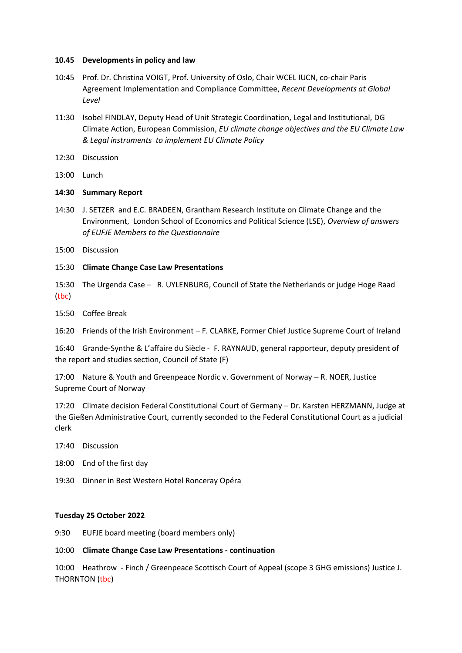#### **10.45 Developments in policy and law**

- 10:45 Prof. Dr. Christina VOIGT, Prof. University of Oslo, Chair WCEL IUCN, co-chair Paris Agreement Implementation and Compliance Committee, *Recent Developments at Global Level*
- 11:30 Isobel FINDLAY, Deputy Head of Unit Strategic Coordination, Legal and Institutional, DG Climate Action, European Commission, *EU climate change objectives and the EU Climate Law & Legal instruments to implement EU Climate Policy*
- 12:30 Discussion
- 13:00 Lunch

#### **14:30 Summary Report**

- 14:30 J. SETZER and E.C. BRADEEN, Grantham Research Institute on Climate Change and the Environment, London School of Economics and Political Science (LSE), *Overview of answers of EUFJE Members to the Questionnaire*
- 15:00 Discussion
- 15:30 **Climate Change Case Law Presentations**

15:30 The Urgenda Case – R. UYLENBURG, Council of State the Netherlands or judge Hoge Raad (tbc)

15:50 Coffee Break

16:20 Friends of the Irish Environment – F. CLARKE, Former Chief Justice Supreme Court of Ireland

16:40 Grande-Synthe & L'affaire du Siècle - F. RAYNAUD, general rapporteur, deputy president of the report and studies section, Council of State (F)

17:00 Nature & Youth and Greenpeace Nordic v. Government of Norway – R. NOER, Justice Supreme Court of Norway

17:20 Climate decision Federal Constitutional Court of Germany – Dr. Karsten HERZMANN, Judge at the Gießen Administrative Court*,* currently seconded to the Federal Constitutional Court as a judicial clerk

17:40 Discussion

- 18:00 End of the first day
- 19:30 Dinner in Best Western Hotel Ronceray Opéra

#### **Tuesday 25 October 2022**

9:30 EUFJE board meeting (board members only)

#### 10:00 **Climate Change Case Law Presentations - continuation**

10:00 Heathrow - Finch / Greenpeace Scottisch Court of Appeal (scope 3 GHG emissions) Justice J. THORNTON (tbc)